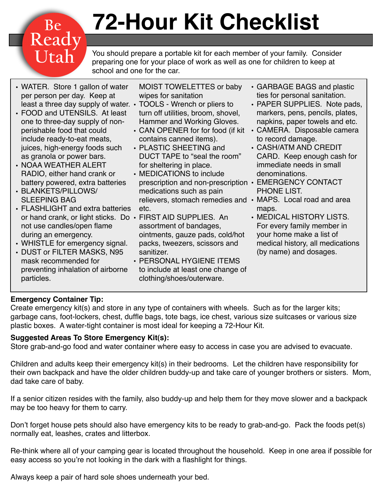# **72-Hour Kit Checklist**

You should prepare a portable kit for each member of your family. Consider preparing one for your place of work as well as one for children to keep at school and one for the car.

• WATER. Store 1 gallon of water per person per day. Keep at least a three day supply of water. • TOOLS - Wrench or pliers to

Be<br>Ready<br>Utah

- FOOD and UTENSILS. At least one to three-day supply of nonperishable food that could include ready-to-eat meats, juices, high-energy foods such as granola or power bars.
- NOAA WEATHER ALERT RADIO, either hand crank or battery powered, extra batteries
- BLANKETS/PILLOWS/ SLEEPING BAG
- FLASHLIGHT and extra batteries or hand crank, or light sticks. Do • FIRST AID SUPPLIES. An not use candles/open flame during an emergency.
- WHISTLE for emergency signal.
- DUST or FILTER MASKS, N95 mask recommended for preventing inhalation of airborne particles.
- MOIST TOWELETTES or baby wipes for sanitation
- turn off utilities, broom, shovel, Hammer and Working Gloves.
- CAN OPENER for for food (if kit CAMERA. Disposable camera contains canned items).
- PLASTIC SHEETING and DUCT TAPE to "seal the room" for sheltering in place.
- MEDICATIONS to include prescription and non-prescription • EMERGENCY CONTACT medications such as pain relievers, stomach remedies and • MAPS. Local road and area etc.
- assortment of bandages, ointments, gauze pads, cold/hot packs, tweezers, scissors and sanitizer.
- PERSONAL HYGIENE ITEMS to include at least one change of clothing/shoes/outerware.
- GARBAGE BAGS and plastic ties for personal sanitation.
- PAPER SUPPLIES. Note pads, markers, pens, pencils, plates, napkins, paper towels and etc.
- to record damage.
- CASH/ATM AND CREDIT CARD. Keep enough cash for immediate needs in small denominations.
- PHONE LIST.
- maps.
- MEDICAL HISTORY LISTS. For every family member in your home make a list of medical history, all medications (by name) and dosages.

#### **Emergency Container Tip:**

Create emergency kit(s) and store in any type of containers with wheels. Such as for the larger kits; garbage cans, foot-lockers, chest, duffle bags, tote bags, ice chest, various size suitcases or various size plastic boxes. A water-tight container is most ideal for keeping a 72-Hour Kit.

#### **Suggested Areas To Store Emergency Kit(s):**

•

Store grab-and-go food and water container where easy to access in case you are advised to evacuate.

Children and adults keep their emergency kit(s) in their bedrooms. Let the children have responsibility for their own backpack and have the older children buddy-up and take care of younger brothers or sisters. Mom, dad take care of baby.

If a senior citizen resides with the family, also buddy-up and help them for they move slower and a backpack may be too heavy for them to carry.

Don't forget house pets should also have emergency kits to be ready to grab-and-go. Pack the foods pet(s) normally eat, leashes, crates and litterbox.

Re-think where all of your camping gear is located throughout the household. Keep in one area if possible for easy access so you're not looking in the dark with a flashlight for things.

Always keep a pair of hard sole shoes underneath your bed.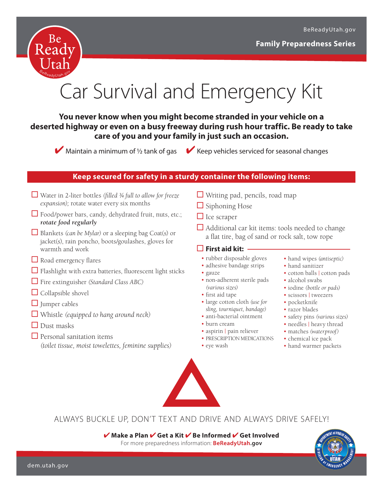

## Car Survival and Emergency Kit

#### **You never know when you might become stranded in your vehicle on a deserted highway or even on a busy freeway during rush hour traffic. Be ready to take care of you and your family in just such an occasion.**

 $\blacktriangleright$  Maintain a minimum of  $\frac{1}{2}$  tank of gas  $\blacktriangleright$  Keep vehicles serviced for seasonal changes

#### **Keep secured for safety in a sturdy container the following items:**

- Water in 2-liter bottles *(filled ¾ full to allow for freeze expansion);* rotate water every six months
- $\Box$  Food/power bars, candy, dehydrated fruit, nuts, etc.; *rotate food regularly*
- Blankets *(can be Mylar)* or a sleeping bag Coat(s) or jacket(s), rain poncho, boots/goulashes, gloves for warmth and work
- Road emergency flares
- $\Box$  Flashlight with extra batteries, fluorescent light sticks
- Fire extinguisher *(Standard Class ABC)*
- $\Box$  Collapsible shovel
- $\Box$  Jumper cables
- Whistle *(equipped to hang around neck)*
- $\Box$  Dust masks
- $\Box$  Personal sanitation items *(toilet tissue, moist towelettes, feminine supplies)*
- $\Box$  Writing pad, pencils, road map
- $\Box$  Siphoning Hose
- $\Box$  Ice scraper
- $\Box$  Additional car kit items: tools needed to change a flat tire, bag of sand or rock salt, tow rope

#### **First aid kit:**

- rubber disposable gloves
- adhesive bandage strips
- gauze
- non-adherent sterile pads *(various sizes)*
- first aid tape
- large cotton cloth *(use for sling, tourniquet, bandage)*
- anti-bacterial ointment
- burn cream
- aspirin | pain reliever
- PRESCRIPTION MEDICATIONS
- eye wash
- hand wipes *(antiseptic)*
- hand sanitizer
- cotton balls | cotton pads
- alcohol swabs
- iodine *(bottle or pads)*
- scissors | tweezers
- pocketknife
- razor blades
- safety pins *(various sizes)*
- needles | heavy thread
- matches *(waterproof)*
- chemical ice pack
- hand warmer packets



ALWAYS BUCKLE UP, DON'T TEXT AND DRIVE AND ALWAYS DRIVE SAFELY!

✔ **Make a Plan** ✔ **Get a Kit** ✔ **Be Informed** ✔ **Get Involved** For more preparedness information: **BeReadyUtah.gov**

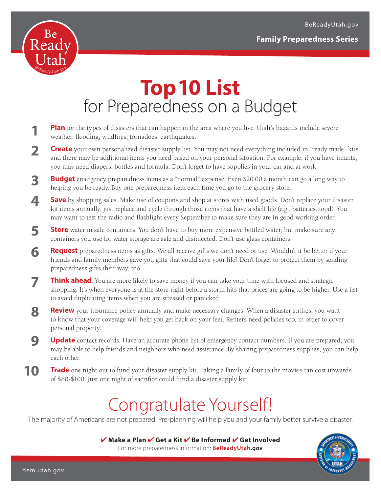

**1**

**2**

**3**

**4**

**5**

**6**

**7**

**8**

**9**

**10**

## **Top 10 List**  for Preparedness on a Budget

- **Plan** for the types of disasters that can happen in the area where you live. Utah's hazards include severe weather, flooding, wildfires, tornadoes, earthquakes.
- **Create** your own personalized disaster supply list. You may not need everything included in "ready made" kits and there may be additional items you need based on your personal situation. For example, if you have infants, you may need diapers, bottles and formula. Don't forget to have supplies in your car and at work.
- **Budget** emergency preparedness items as a "normal" expense. Even \$20.00 a month can go a long way to helping you be ready. Buy one preparedness item each time you go to the grocery store.
- **Save** by shopping sales. Make use of coupons and shop at stores with used goods. Don't replace your disaster kit items annually, just replace and cycle through those items that have a shelf life (e.g., batteries, food). You may want to test the radio and flashlight every September to make sure they are in good working order.
- **Store** water in safe containers. You don't have to buy more expensive bottled water, but make sure any containers you use for water storage are safe and disinfected. Don't use glass containers.
	- **Request** preparedness items as gifts. We all receive gifts we don't need or use. Wouldn't it be better if your friends and family members gave you gifts that could save your life? Don't forget to protect them by sending preparedness gifts their way, too.
- **Think ahead**. You are more likely to save money if you can take your time with focused and strategic shopping. It's when everyone is at the store right before a storm hits that prices are going to be higher. Use a list to avoid duplicating items when you are stressed or panicked.
- **Review** your insurance policy annually and make necessary changes. When a disaster strikes, you want to know that your coverage will help you get back on your feet. Renters need policies too, in order to cover personal property.
- **Update** contact records. Have an accurate phone list of emergency contact numbers. If you are prepared, you may be able to help friends and neighbors who need assistance. By sharing preparedness supplies, you can help each other.
- **Trade** one night out to fund your disaster supply kit. Taking a family of four to the movies can cost upwards of \$80-\$100. Just one night of sacrifice could fund a disaster supply kit.

## Congratulate Yourself!

The majority of Americans are not prepared. Pre-planning will help you and your family better survive a disaster.

✔ **Make a Plan** ✔ **Get a Kit** ✔ **Be Informed** ✔ **Get Involved** For more preparedness information: **<BeReadyUtah.gov>**